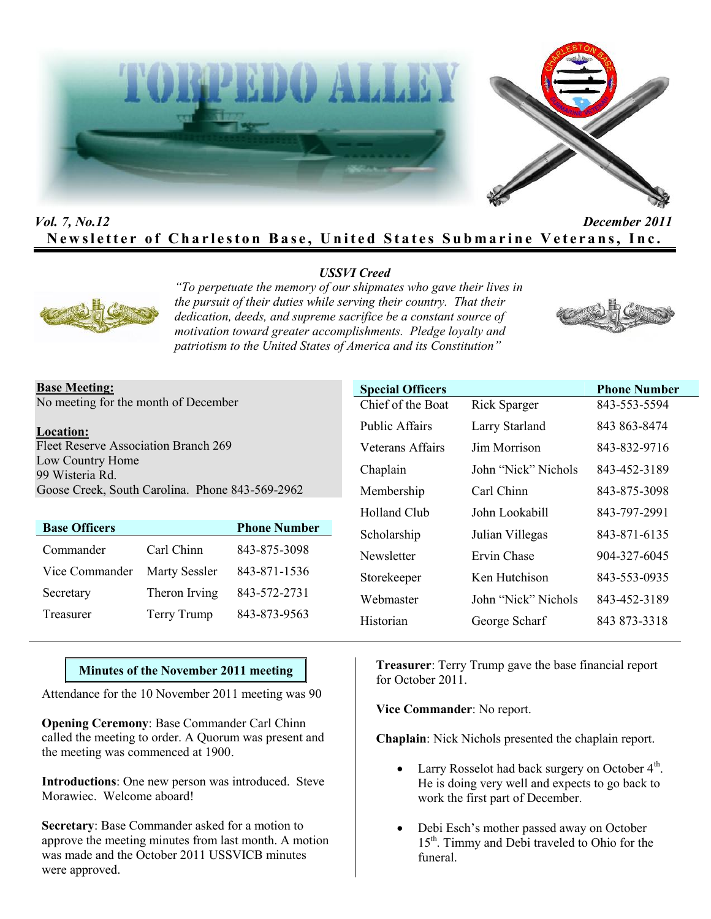



## *Vol. 7, No.12 December 2011* **Newsletter of Charleston Base, United States Submarine Veterans, Inc.**

## *USSVI Creed*



*"To perpetuate the memory of our shipmates who gave their lives in the pursuit of their duties while serving their country. That their dedication, deeds, and supreme sacrifice be a constant source of motivation toward greater accomplishments. Pledge loyalty and patriotism to the United States of America and its Constitution"*



#### **Base Meeting:** No meeting for the month of December

#### **Location:**

Fleet Reserve Association Branch 269 Low Country Home 99 Wisteria Rd. Goose Creek, South Carolina. Phone 843-569-2962

| <b>Base Officers</b> |               | <b>Phone Number</b> |
|----------------------|---------------|---------------------|
| Commander            | Carl Chinn    | 843-875-3098        |
| Vice Commander       | Marty Sessler | 843-871-1536        |
| Secretary            | Theron Irving | 843-572-2731        |
| Treasurer            | Terry Trump   | 843-873-9563        |

| <b>Special Officers</b> |                     | <b>Phone Number</b> |
|-------------------------|---------------------|---------------------|
| Chief of the Boat       | <b>Rick Sparger</b> | 843-553-5594        |
| <b>Public Affairs</b>   | Larry Starland      | 843 863-8474        |
| Veterans Affairs        | Jim Morrison        | 843-832-9716        |
| Chaplain                | John "Nick" Nichols | 843-452-3189        |
| Membership              | Carl Chinn          | 843-875-3098        |
| Holland Club            | John Lookabill      | 843-797-2991        |
| Scholarship             | Julian Villegas     | 843-871-6135        |
| Newsletter              | Ervin Chase         | 904-327-6045        |
| Storekeeper             | Ken Hutchison       | 843-553-0935        |
| Webmaster               | John "Nick" Nichols | 843-452-3189        |
| Historian               | George Scharf       | 843 873-3318        |

## **Minutes of the November 2011 meeting**

Attendance for the 10 November 2011 meeting was 90

**Opening Ceremony**: Base Commander Carl Chinn called the meeting to order. A Quorum was present and the meeting was commenced at 1900.

**Introductions**: One new person was introduced. Steve Morawiec. Welcome aboard!

**Secretary**: Base Commander asked for a motion to approve the meeting minutes from last month. A motion was made and the October 2011 USSVICB minutes were approved.

**Treasurer**: Terry Trump gave the base financial report for October 2011.

**Vice Commander**: No report.

**Chaplain**: Nick Nichols presented the chaplain report.

- Larry Rosselot had back surgery on October 4<sup>th</sup>. He is doing very well and expects to go back to work the first part of December.
- Debi Esch's mother passed away on October 15<sup>th</sup>. Timmy and Debi traveled to Ohio for the funeral.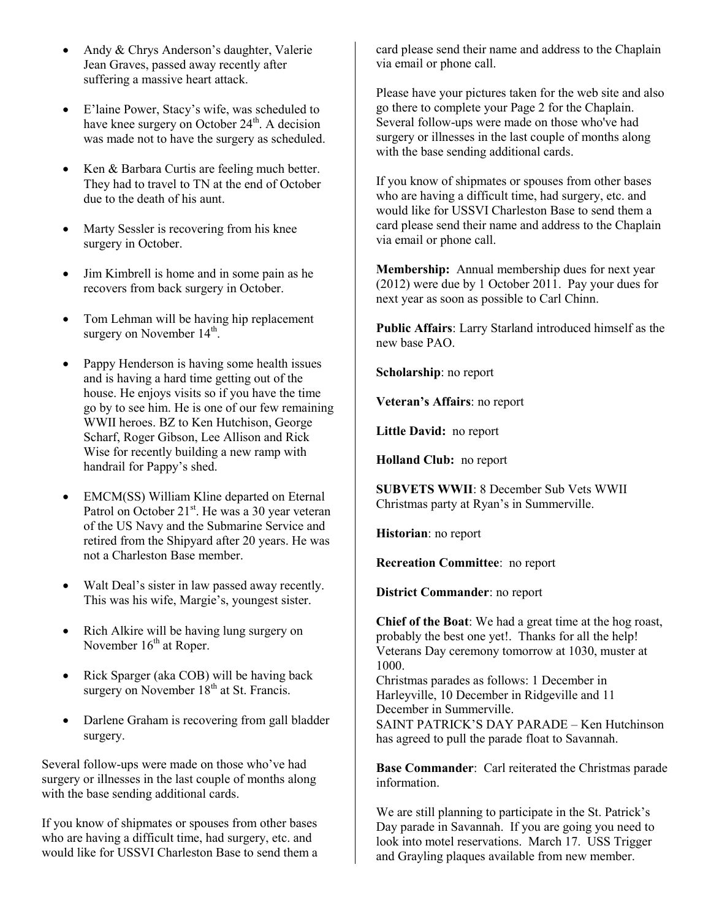- Andy & Chrys Anderson's daughter, Valerie Jean Graves, passed away recently after suffering a massive heart attack.
- E'laine Power, Stacy's wife, was scheduled to have knee surgery on October  $24<sup>th</sup>$ . A decision was made not to have the surgery as scheduled.
- Ken & Barbara Curtis are feeling much better. They had to travel to TN at the end of October due to the death of his aunt.
- Marty Sessler is recovering from his knee surgery in October.
- Jim Kimbrell is home and in some pain as he recovers from back surgery in October.
- Tom Lehman will be having hip replacement surgery on November  $14<sup>th</sup>$ .
- Pappy Henderson is having some health issues and is having a hard time getting out of the house. He enjoys visits so if you have the time go by to see him. He is one of our few remaining WWII heroes. BZ to Ken Hutchison, George Scharf, Roger Gibson, Lee Allison and Rick Wise for recently building a new ramp with handrail for Pappy's shed.
- EMCM(SS) William Kline departed on Eternal Patrol on October  $21^{st}$ . He was a 30 year veteran of the US Navy and the Submarine Service and retired from the Shipyard after 20 years. He was not a Charleston Base member.
- Walt Deal's sister in law passed away recently. This was his wife, Margie's, youngest sister.
- Rich Alkire will be having lung surgery on November  $16<sup>th</sup>$  at Roper.
- Rick Sparger (aka COB) will be having back surgery on November  $18<sup>th</sup>$  at St. Francis.
- Darlene Graham is recovering from gall bladder surgery.

Several follow-ups were made on those who've had surgery or illnesses in the last couple of months along with the base sending additional cards.

If you know of shipmates or spouses from other bases who are having a difficult time, had surgery, etc. and would like for USSVI Charleston Base to send them a card please send their name and address to the Chaplain via email or phone call.

Please have your pictures taken for the web site and also go there to complete your Page 2 for the Chaplain. Several follow-ups were made on those who've had surgery or illnesses in the last couple of months along with the base sending additional cards.

If you know of shipmates or spouses from other bases who are having a difficult time, had surgery, etc. and would like for USSVI Charleston Base to send them a card please send their name and address to the Chaplain via email or phone call.

**Membership:** Annual membership dues for next year (2012) were due by 1 October 2011. Pay your dues for next year as soon as possible to Carl Chinn.

**Public Affairs**: Larry Starland introduced himself as the new base PAO.

**Scholarship**: no report

**Veteran's Affairs**: no report

**Little David:** no report

**Holland Club:** no report

**SUBVETS WWII**: 8 December Sub Vets WWII Christmas party at Ryan's in Summerville.

**Historian**: no report

**Recreation Committee**: no report

**District Commander**: no report

**Chief of the Boat**: We had a great time at the hog roast, probably the best one yet!. Thanks for all the help! Veterans Day ceremony tomorrow at 1030, muster at 1000. Christmas parades as follows: 1 December in

Harleyville, 10 December in Ridgeville and 11 December in Summerville. SAINT PATRICK'S DAY PARADE – Ken Hutchinson

has agreed to pull the parade float to Savannah.

**Base Commander**: Carl reiterated the Christmas parade information.

We are still planning to participate in the St. Patrick's Day parade in Savannah. If you are going you need to look into motel reservations. March 17. USS Trigger and Grayling plaques available from new member.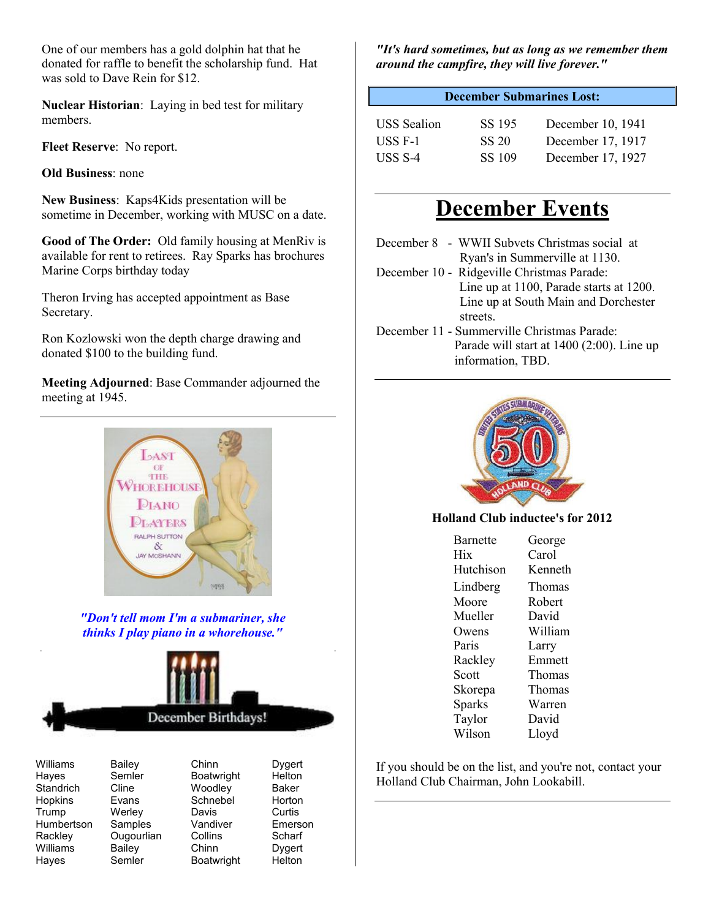One of our members has a gold dolphin hat that he donated for raffle to benefit the scholarship fund. Hat was sold to Dave Rein for \$12.

**Nuclear Historian**: Laying in bed test for military members.

**Fleet Reserve**: No report.

**Old Business**: none

**New Business**: Kaps4Kids presentation will be sometime in December, working with MUSC on a date.

**Good of The Order:** Old family housing at MenRiv is available for rent to retirees. Ray Sparks has brochures Marine Corps birthday today

Theron Irving has accepted appointment as Base Secretary.

Ron Kozlowski won the depth charge drawing and donated \$100 to the building fund.

**Meeting Adjourned**: Base Commander adjourned the meeting at 1945.



*"Don't tell mom I'm a submariner, she thinks I play piano in a whorehouse."*



Standrich Hopkins Evans Schnebel Horton Trump Werley Davis Curtis<br>Humbertson Samples Vandiver Emerson Humbertson Samples Vandiver Emerson<br>Rackley Ougourlian Collins Scharf Williams Hayes Semler Boatwright Helton

Semler Boatwright Helton<br>Cline Woodlev Baker Ougourlian Collins Scharf<br>Bailey Chinn Dygert

Williams Bailey Chinn Dygert<br>Hayes Semler Boatwright Helton

*"It's hard sometimes, but as long as we remember them around the campfire, they will live forever."*

### **December Submarines Lost:**

| <b>USS</b> Sealion | SS 195 | December 10, 1941 |
|--------------------|--------|-------------------|
| USS F-1            | SS 20  | December 17, 1917 |
| USS S-4            | SS 109 | December 17, 1927 |

# **December Events**

- December 8 WWII Subvets Christmas social at Ryan's in Summerville at 1130.
- December 10 Ridgeville Christmas Parade: Line up at 1100, Parade starts at 1200. Line up at South Main and Dorchester streets.
- December 11 Summerville Christmas Parade: Parade will start at 1400 (2:00). Line up information, TBD.



## **Holland Club inductee's for 2012**

| <b>Barnette</b> | George  |
|-----------------|---------|
| Hix             | Carol   |
| Hutchison       | Kenneth |
| Lindberg        | Thomas  |
| Moore           | Robert  |
| Mueller         | David   |
| Owens           | William |
| Paris           | Larry   |
| Rackley         | Emmett  |
| Scott           | Thomas  |
| Skorepa         | Thomas  |
| Sparks          | Warren  |
| Taylor          | David   |
| Wilson          | Lloyd   |
|                 |         |

If you should be on the list, and you're not, contact your Holland Club Chairman, John Lookabill.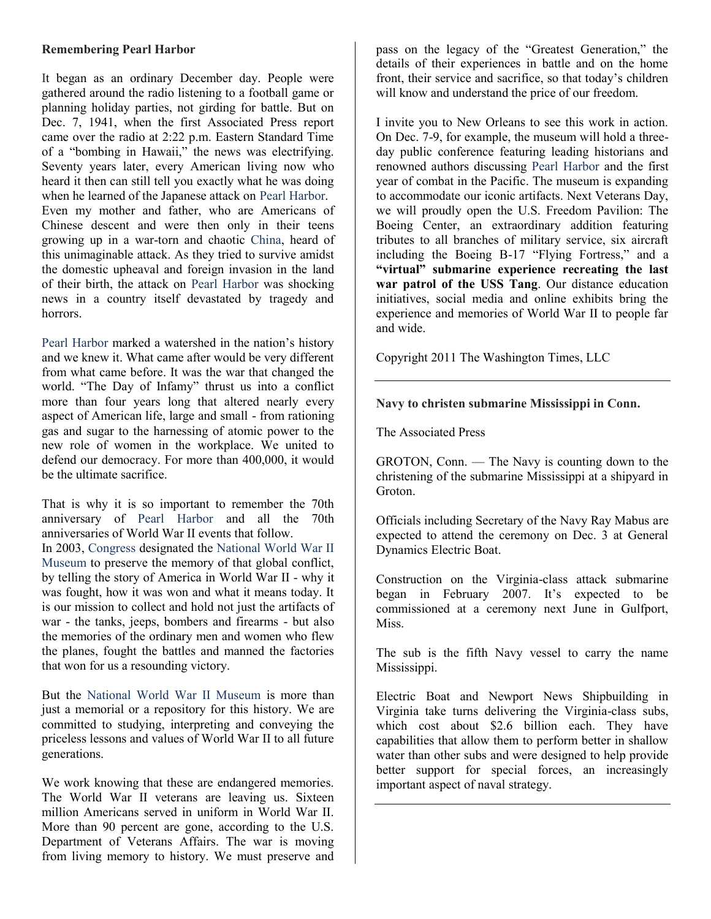#### **Remembering Pearl Harbor**

It began as an ordinary December day. People were gathered around the radio listening to a football game or planning holiday parties, not girding for battle. But on Dec. 7, 1941, when the first Associated Press report came over the radio at 2:22 p.m. Eastern Standard Time of a "bombing in Hawaii," the news was electrifying. Seventy years later, every American living now who heard it then can still tell you exactly what he was doing when he learned of the Japanese attack on Pearl Harbor. Even my mother and father, who are Americans of Chinese descent and were then only in their teens growing up in a war-torn and chaotic China, heard of this unimaginable attack. As they tried to survive amidst the domestic upheaval and foreign invasion in the land of their birth, the attack on Pearl Harbor was shocking news in a country itself devastated by tragedy and horrors.

Pearl Harbor marked a watershed in the nation's history and we knew it. What came after would be very different from what came before. It was the war that changed the world. "The Day of Infamy" thrust us into a conflict more than four years long that altered nearly every aspect of American life, large and small - from rationing gas and sugar to the harnessing of atomic power to the new role of women in the workplace. We united to defend our democracy. For more than 400,000, it would be the ultimate sacrifice.

That is why it is so important to remember the 70th anniversary of Pearl Harbor and all the 70th anniversaries of World War II events that follow. In 2003, Congress designated the National World War II Museum to preserve the memory of that global conflict, by telling the story of America in World War II - why it was fought, how it was won and what it means today. It is our mission to collect and hold not just the artifacts of war - the tanks, jeeps, bombers and firearms - but also the memories of the ordinary men and women who flew the planes, fought the battles and manned the factories that won for us a resounding victory.

But the National World War II Museum is more than just a memorial or a repository for this history. We are committed to studying, interpreting and conveying the priceless lessons and values of World War II to all future generations.

We work knowing that these are endangered memories. The World War II veterans are leaving us. Sixteen million Americans served in uniform in World War II. More than 90 percent are gone, according to the U.S. Department of Veterans Affairs. The war is moving from living memory to history. We must preserve and pass on the legacy of the "Greatest Generation," the details of their experiences in battle and on the home front, their service and sacrifice, so that today's children will know and understand the price of our freedom.

I invite you to New Orleans to see this work in action. On Dec. 7-9, for example, the museum will hold a threeday public conference featuring leading historians and renowned authors discussing Pearl Harbor and the first year of combat in the Pacific. The museum is expanding to accommodate our iconic artifacts. Next Veterans Day, we will proudly open the U.S. Freedom Pavilion: The Boeing Center, an extraordinary addition featuring tributes to all branches of military service, six aircraft including the Boeing B-17 "Flying Fortress," and a **"virtual" submarine experience recreating the last war patrol of the USS Tang**. Our distance education initiatives, social media and online exhibits bring the experience and memories of World War II to people far and wide.

Copyright 2011 The Washington Times, LLC

## **Navy to christen submarine Mississippi in Conn.**

The Associated Press

GROTON, Conn. — The Navy is counting down to the christening of the submarine Mississippi at a shipyard in Groton.

Officials including Secretary of the Navy Ray Mabus are expected to attend the ceremony on Dec. 3 at General Dynamics Electric Boat.

Construction on the Virginia-class attack submarine began in February 2007. It's expected to be commissioned at a ceremony next June in Gulfport, Miss.

The sub is the fifth Navy vessel to carry the name Mississippi.

Electric Boat and Newport News Shipbuilding in Virginia take turns delivering the Virginia-class subs, which cost about \$2.6 billion each. They have capabilities that allow them to perform better in shallow water than other subs and were designed to help provide better support for special forces, an increasingly important aspect of naval strategy.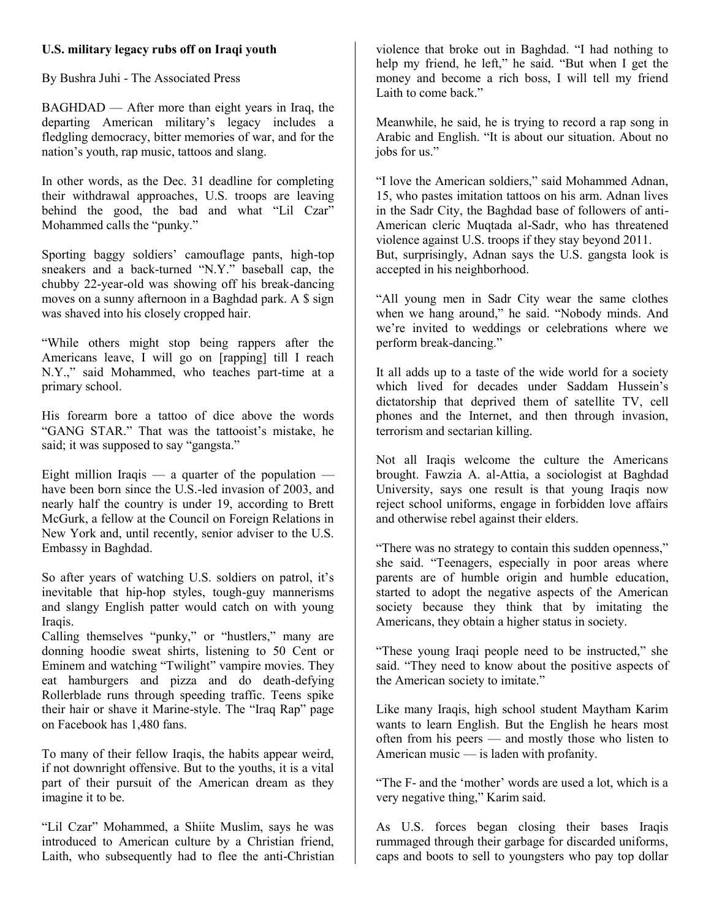## **U.S. military legacy rubs off on Iraqi youth**

By Bushra Juhi - The Associated Press

BAGHDAD — After more than eight years in Iraq, the departing American military's legacy includes a fledgling democracy, bitter memories of war, and for the nation's youth, rap music, tattoos and slang.

In other words, as the Dec. 31 deadline for completing their withdrawal approaches, U.S. troops are leaving behind the good, the bad and what "Lil Czar" Mohammed calls the "punky."

Sporting baggy soldiers' camouflage pants, high-top sneakers and a back-turned "N.Y." baseball cap, the chubby 22-year-old was showing off his break-dancing moves on a sunny afternoon in a Baghdad park. A \$ sign was shaved into his closely cropped hair.

"While others might stop being rappers after the Americans leave, I will go on [rapping] till I reach N.Y.," said Mohammed, who teaches part-time at a primary school.

His forearm bore a tattoo of dice above the words "GANG STAR." That was the tattooist's mistake, he said; it was supposed to say "gangsta."

Eight million Iraqis — a quarter of the population have been born since the U.S.-led invasion of 2003, and nearly half the country is under 19, according to Brett McGurk, a fellow at the Council on Foreign Relations in New York and, until recently, senior adviser to the U.S. Embassy in Baghdad.

So after years of watching U.S. soldiers on patrol, it's inevitable that hip-hop styles, tough-guy mannerisms and slangy English patter would catch on with young Iraqis.

Calling themselves "punky," or "hustlers," many are donning hoodie sweat shirts, listening to 50 Cent or Eminem and watching "Twilight" vampire movies. They eat hamburgers and pizza and do death-defying Rollerblade runs through speeding traffic. Teens spike their hair or shave it Marine-style. The "Iraq Rap" page on Facebook has 1,480 fans.

To many of their fellow Iraqis, the habits appear weird, if not downright offensive. But to the youths, it is a vital part of their pursuit of the American dream as they imagine it to be.

"Lil Czar" Mohammed, a Shiite Muslim, says he was introduced to American culture by a Christian friend, Laith, who subsequently had to flee the anti-Christian violence that broke out in Baghdad. "I had nothing to help my friend, he left," he said. "But when I get the money and become a rich boss, I will tell my friend Laith to come back."

Meanwhile, he said, he is trying to record a rap song in Arabic and English. "It is about our situation. About no jobs for us."

"I love the American soldiers," said Mohammed Adnan, 15, who pastes imitation tattoos on his arm. Adnan lives in the Sadr City, the Baghdad base of followers of anti-American cleric Muqtada al-Sadr, who has threatened violence against U.S. troops if they stay beyond 2011. But, surprisingly, Adnan says the U.S. gangsta look is accepted in his neighborhood.

"All young men in Sadr City wear the same clothes when we hang around," he said. "Nobody minds. And we're invited to weddings or celebrations where we perform break-dancing."

It all adds up to a taste of the wide world for a society which lived for decades under Saddam Hussein's dictatorship that deprived them of satellite TV, cell phones and the Internet, and then through invasion, terrorism and sectarian killing.

Not all Iraqis welcome the culture the Americans brought. Fawzia A. al-Attia, a sociologist at Baghdad University, says one result is that young Iraqis now reject school uniforms, engage in forbidden love affairs and otherwise rebel against their elders.

"There was no strategy to contain this sudden openness," she said. "Teenagers, especially in poor areas where parents are of humble origin and humble education, started to adopt the negative aspects of the American society because they think that by imitating the Americans, they obtain a higher status in society.

"These young Iraqi people need to be instructed," she said. "They need to know about the positive aspects of the American society to imitate."

Like many Iraqis, high school student Maytham Karim wants to learn English. But the English he hears most often from his peers — and mostly those who listen to American music — is laden with profanity.

"The F- and the 'mother' words are used a lot, which is a very negative thing," Karim said.

As U.S. forces began closing their bases Iraqis rummaged through their garbage for discarded uniforms, caps and boots to sell to youngsters who pay top dollar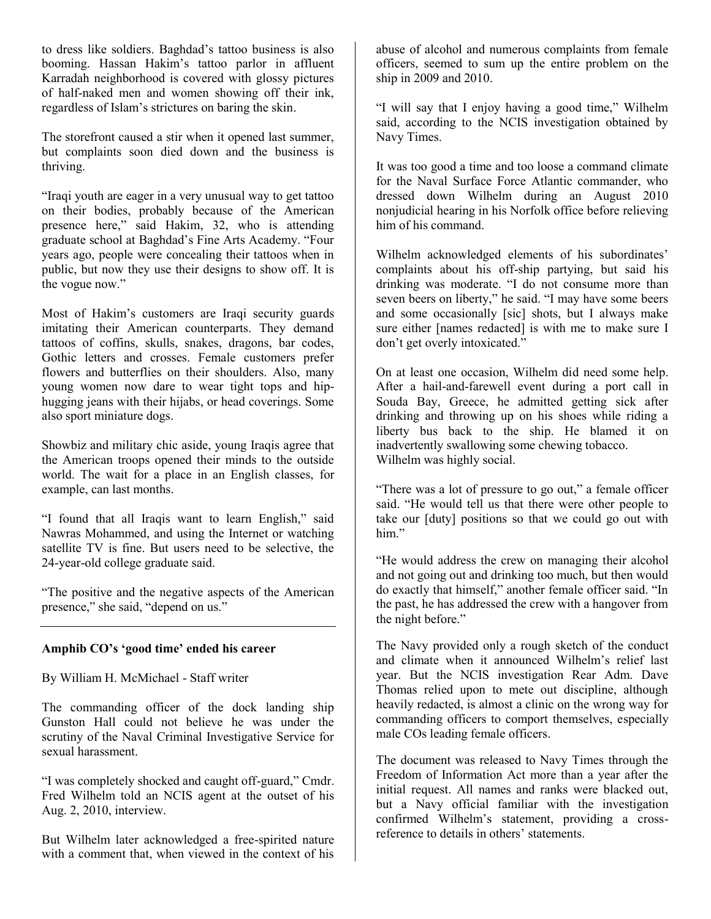to dress like soldiers. Baghdad's tattoo business is also booming. Hassan Hakim's tattoo parlor in affluent Karradah neighborhood is covered with glossy pictures of half-naked men and women showing off their ink, regardless of Islam's strictures on baring the skin.

The storefront caused a stir when it opened last summer, but complaints soon died down and the business is thriving.

"Iraqi youth are eager in a very unusual way to get tattoo on their bodies, probably because of the American presence here," said Hakim, 32, who is attending graduate school at Baghdad's Fine Arts Academy. "Four years ago, people were concealing their tattoos when in public, but now they use their designs to show off. It is the vogue now."

Most of Hakim's customers are Iraqi security guards imitating their American counterparts. They demand tattoos of coffins, skulls, snakes, dragons, bar codes, Gothic letters and crosses. Female customers prefer flowers and butterflies on their shoulders. Also, many young women now dare to wear tight tops and hiphugging jeans with their hijabs, or head coverings. Some also sport miniature dogs.

Showbiz and military chic aside, young Iraqis agree that the American troops opened their minds to the outside world. The wait for a place in an English classes, for example, can last months.

"I found that all Iraqis want to learn English," said Nawras Mohammed, and using the Internet or watching satellite TV is fine. But users need to be selective, the 24-year-old college graduate said.

"The positive and the negative aspects of the American presence," she said, "depend on us."

## **Amphib CO's 'good time' ended his career**

By William H. McMichael - Staff writer

The commanding officer of the dock landing ship Gunston Hall could not believe he was under the scrutiny of the Naval Criminal Investigative Service for sexual harassment.

"I was completely shocked and caught off-guard," Cmdr. Fred Wilhelm told an NCIS agent at the outset of his Aug. 2, 2010, interview.

But Wilhelm later acknowledged a free-spirited nature with a comment that, when viewed in the context of his

abuse of alcohol and numerous complaints from female officers, seemed to sum up the entire problem on the ship in 2009 and 2010.

"I will say that I enjoy having a good time," Wilhelm said, according to the NCIS investigation obtained by Navy Times.

It was too good a time and too loose a command climate for the Naval Surface Force Atlantic commander, who dressed down Wilhelm during an August 2010 nonjudicial hearing in his Norfolk office before relieving him of his command.

Wilhelm acknowledged elements of his subordinates' complaints about his off-ship partying, but said his drinking was moderate. "I do not consume more than seven beers on liberty," he said. "I may have some beers and some occasionally [sic] shots, but I always make sure either [names redacted] is with me to make sure I don't get overly intoxicated."

On at least one occasion, Wilhelm did need some help. After a hail-and-farewell event during a port call in Souda Bay, Greece, he admitted getting sick after drinking and throwing up on his shoes while riding a liberty bus back to the ship. He blamed it on inadvertently swallowing some chewing tobacco. Wilhelm was highly social.

"There was a lot of pressure to go out," a female officer said. "He would tell us that there were other people to take our [duty] positions so that we could go out with him"

"He would address the crew on managing their alcohol and not going out and drinking too much, but then would do exactly that himself," another female officer said. "In the past, he has addressed the crew with a hangover from the night before."

The Navy provided only a rough sketch of the conduct and climate when it announced Wilhelm's relief last year. But the NCIS investigation Rear Adm. Dave Thomas relied upon to mete out discipline, although heavily redacted, is almost a clinic on the wrong way for commanding officers to comport themselves, especially male COs leading female officers.

The document was released to Navy Times through the Freedom of Information Act more than a year after the initial request. All names and ranks were blacked out, but a Navy official familiar with the investigation confirmed Wilhelm's statement, providing a crossreference to details in others' statements.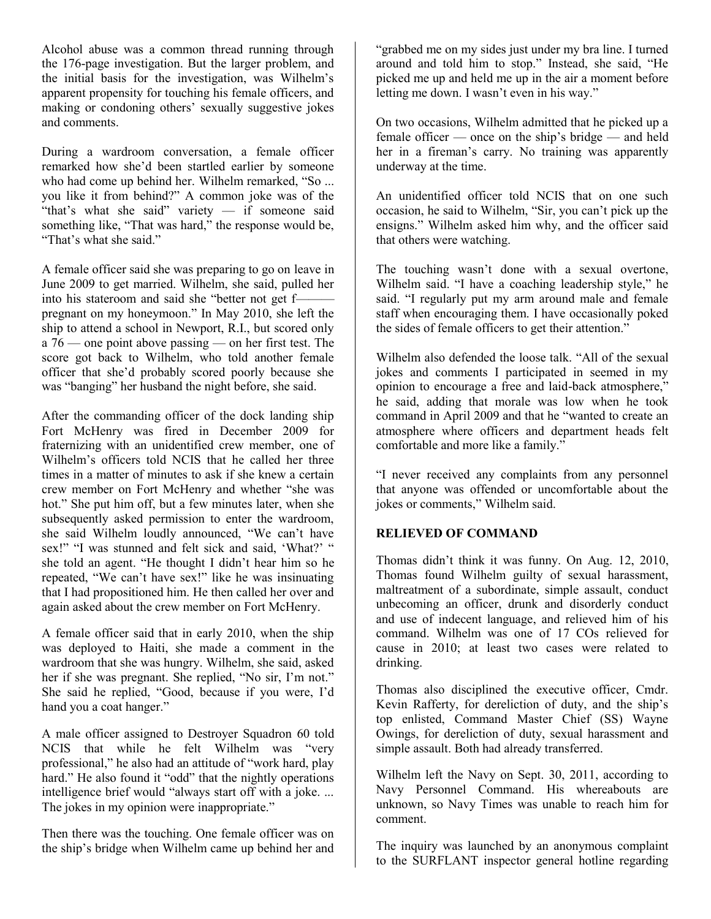Alcohol abuse was a common thread running through the 176-page investigation. But the larger problem, and the initial basis for the investigation, was Wilhelm's apparent propensity for touching his female officers, and making or condoning others' sexually suggestive jokes and comments.

During a wardroom conversation, a female officer remarked how she'd been startled earlier by someone who had come up behind her. Wilhelm remarked, "So ... you like it from behind?" A common joke was of the "that's what she said" variety — if someone said something like, "That was hard," the response would be, "That's what she said."

A female officer said she was preparing to go on leave in June 2009 to get married. Wilhelm, she said, pulled her into his stateroom and said she "better not get f—— pregnant on my honeymoon." In May 2010, she left the ship to attend a school in Newport, R.I., but scored only a 76 — one point above passing — on her first test. The score got back to Wilhelm, who told another female officer that she'd probably scored poorly because she was "banging" her husband the night before, she said.

After the commanding officer of the dock landing ship Fort McHenry was fired in December 2009 for fraternizing with an unidentified crew member, one of Wilhelm's officers told NCIS that he called her three times in a matter of minutes to ask if she knew a certain crew member on Fort McHenry and whether "she was hot." She put him off, but a few minutes later, when she subsequently asked permission to enter the wardroom, she said Wilhelm loudly announced, "We can't have sex!" "I was stunned and felt sick and said, 'What?' " she told an agent. "He thought I didn't hear him so he repeated, "We can't have sex!" like he was insinuating that I had propositioned him. He then called her over and again asked about the crew member on Fort McHenry.

A female officer said that in early 2010, when the ship was deployed to Haiti, she made a comment in the wardroom that she was hungry. Wilhelm, she said, asked her if she was pregnant. She replied, "No sir, I'm not." She said he replied, "Good, because if you were, I'd hand you a coat hanger."

A male officer assigned to Destroyer Squadron 60 told NCIS that while he felt Wilhelm was "very professional," he also had an attitude of "work hard, play hard." He also found it "odd" that the nightly operations intelligence brief would "always start off with a joke. ... The jokes in my opinion were inappropriate."

Then there was the touching. One female officer was on the ship's bridge when Wilhelm came up behind her and

"grabbed me on my sides just under my bra line. I turned around and told him to stop." Instead, she said, "He picked me up and held me up in the air a moment before letting me down. I wasn't even in his way."

On two occasions, Wilhelm admitted that he picked up a female officer — once on the ship's bridge — and held her in a fireman's carry. No training was apparently underway at the time.

An unidentified officer told NCIS that on one such occasion, he said to Wilhelm, "Sir, you can't pick up the ensigns." Wilhelm asked him why, and the officer said that others were watching.

The touching wasn't done with a sexual overtone, Wilhelm said. "I have a coaching leadership style," he said. "I regularly put my arm around male and female staff when encouraging them. I have occasionally poked the sides of female officers to get their attention."

Wilhelm also defended the loose talk. "All of the sexual jokes and comments I participated in seemed in my opinion to encourage a free and laid-back atmosphere," he said, adding that morale was low when he took command in April 2009 and that he "wanted to create an atmosphere where officers and department heads felt comfortable and more like a family."

"I never received any complaints from any personnel that anyone was offended or uncomfortable about the jokes or comments," Wilhelm said.

## **RELIEVED OF COMMAND**

Thomas didn't think it was funny. On Aug. 12, 2010, Thomas found Wilhelm guilty of sexual harassment, maltreatment of a subordinate, simple assault, conduct unbecoming an officer, drunk and disorderly conduct and use of indecent language, and relieved him of his command. Wilhelm was one of 17 COs relieved for cause in 2010; at least two cases were related to drinking.

Thomas also disciplined the executive officer, Cmdr. Kevin Rafferty, for dereliction of duty, and the ship's top enlisted, Command Master Chief (SS) Wayne Owings, for dereliction of duty, sexual harassment and simple assault. Both had already transferred.

Wilhelm left the Navy on Sept. 30, 2011, according to Navy Personnel Command. His whereabouts are unknown, so Navy Times was unable to reach him for comment.

The inquiry was launched by an anonymous complaint to the SURFLANT inspector general hotline regarding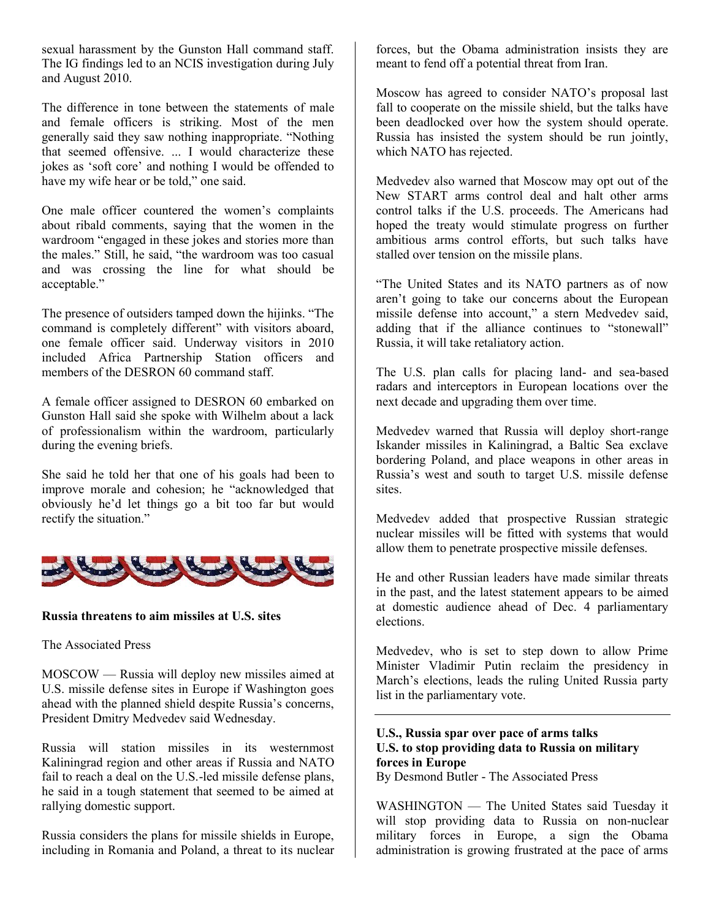sexual harassment by the Gunston Hall command staff. The IG findings led to an NCIS investigation during July and August 2010.

The difference in tone between the statements of male and female officers is striking. Most of the men generally said they saw nothing inappropriate. "Nothing that seemed offensive. ... I would characterize these jokes as 'soft core' and nothing I would be offended to have my wife hear or be told," one said.

One male officer countered the women's complaints about ribald comments, saying that the women in the wardroom "engaged in these jokes and stories more than the males." Still, he said, "the wardroom was too casual and was crossing the line for what should be acceptable."

The presence of outsiders tamped down the hijinks. "The command is completely different" with visitors aboard, one female officer said. Underway visitors in 2010 included Africa Partnership Station officers and members of the DESRON 60 command staff.

A female officer assigned to DESRON 60 embarked on Gunston Hall said she spoke with Wilhelm about a lack of professionalism within the wardroom, particularly during the evening briefs.

She said he told her that one of his goals had been to improve morale and cohesion; he "acknowledged that obviously he'd let things go a bit too far but would rectify the situation."



#### **Russia threatens to aim missiles at U.S. sites**

#### The Associated Press

MOSCOW — Russia will deploy new missiles aimed at U.S. missile defense sites in Europe if Washington goes ahead with the planned shield despite Russia's concerns, President Dmitry Medvedev said Wednesday.

Russia will station missiles in its westernmost Kaliningrad region and other areas if Russia and NATO fail to reach a deal on the U.S.-led missile defense plans, he said in a tough statement that seemed to be aimed at rallying domestic support.

Russia considers the plans for missile shields in Europe, including in Romania and Poland, a threat to its nuclear forces, but the Obama administration insists they are meant to fend off a potential threat from Iran.

Moscow has agreed to consider NATO's proposal last fall to cooperate on the missile shield, but the talks have been deadlocked over how the system should operate. Russia has insisted the system should be run jointly, which NATO has rejected.

Medvedev also warned that Moscow may opt out of the New START arms control deal and halt other arms control talks if the U.S. proceeds. The Americans had hoped the treaty would stimulate progress on further ambitious arms control efforts, but such talks have stalled over tension on the missile plans.

"The United States and its NATO partners as of now aren't going to take our concerns about the European missile defense into account," a stern Medvedev said, adding that if the alliance continues to "stonewall" Russia, it will take retaliatory action.

The U.S. plan calls for placing land- and sea-based radars and interceptors in European locations over the next decade and upgrading them over time.

Medvedev warned that Russia will deploy short-range Iskander missiles in Kaliningrad, a Baltic Sea exclave bordering Poland, and place weapons in other areas in Russia's west and south to target U.S. missile defense sites.

Medvedev added that prospective Russian strategic nuclear missiles will be fitted with systems that would allow them to penetrate prospective missile defenses.

He and other Russian leaders have made similar threats in the past, and the latest statement appears to be aimed at domestic audience ahead of Dec. 4 parliamentary elections.

Medvedev, who is set to step down to allow Prime Minister Vladimir Putin reclaim the presidency in March's elections, leads the ruling United Russia party list in the parliamentary vote.

## **U.S., Russia spar over pace of arms talks U.S. to stop providing data to Russia on military forces in Europe**

By Desmond Butler - The Associated Press

WASHINGTON — The United States said Tuesday it will stop providing data to Russia on non-nuclear military forces in Europe, a sign the Obama administration is growing frustrated at the pace of arms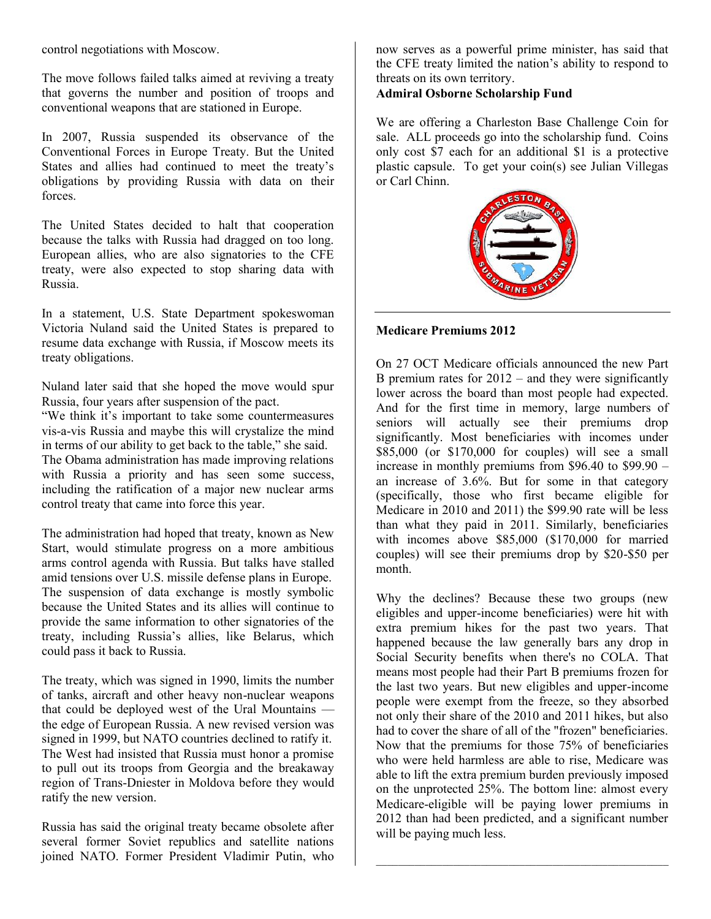control negotiations with Moscow.

The move follows failed talks aimed at reviving a treaty that governs the number and position of troops and conventional weapons that are stationed in Europe.

In 2007, Russia suspended its observance of the Conventional Forces in Europe Treaty. But the United States and allies had continued to meet the treaty's obligations by providing Russia with data on their forces.

The United States decided to halt that cooperation because the talks with Russia had dragged on too long. European allies, who are also signatories to the CFE treaty, were also expected to stop sharing data with Russia.

In a statement, U.S. State Department spokeswoman Victoria Nuland said the United States is prepared to resume data exchange with Russia, if Moscow meets its treaty obligations.

Nuland later said that she hoped the move would spur Russia, four years after suspension of the pact.

"We think it's important to take some countermeasures vis-a-vis Russia and maybe this will crystalize the mind in terms of our ability to get back to the table," she said. The Obama administration has made improving relations with Russia a priority and has seen some success, including the ratification of a major new nuclear arms control treaty that came into force this year.

The administration had hoped that treaty, known as New Start, would stimulate progress on a more ambitious arms control agenda with Russia. But talks have stalled amid tensions over U.S. missile defense plans in Europe. The suspension of data exchange is mostly symbolic because the United States and its allies will continue to provide the same information to other signatories of the treaty, including Russia's allies, like Belarus, which could pass it back to Russia.

The treaty, which was signed in 1990, limits the number of tanks, aircraft and other heavy non-nuclear weapons that could be deployed west of the Ural Mountains the edge of European Russia. A new revised version was signed in 1999, but NATO countries declined to ratify it. The West had insisted that Russia must honor a promise to pull out its troops from Georgia and the breakaway region of Trans-Dniester in Moldova before they would ratify the new version.

Russia has said the original treaty became obsolete after several former Soviet republics and satellite nations joined NATO. Former President Vladimir Putin, who now serves as a powerful prime minister, has said that the CFE treaty limited the nation's ability to respond to threats on its own territory.

### **Admiral Osborne Scholarship Fund**

We are offering a Charleston Base Challenge Coin for sale. ALL proceeds go into the scholarship fund. Coins only cost \$7 each for an additional \$1 is a protective plastic capsule. To get your coin(s) see Julian Villegas or Carl Chinn.



#### **Medicare Premiums 2012**

On 27 OCT Medicare officials announced the new Part B premium rates for  $2012$  – and they were significantly lower across the board than most people had expected. And for the first time in memory, large numbers of seniors will actually see their premiums drop significantly. Most beneficiaries with incomes under \$85,000 (or \$170,000 for couples) will see a small increase in monthly premiums from \$96.40 to \$99.90 – an increase of 3.6%. But for some in that category (specifically, those who first became eligible for Medicare in 2010 and 2011) the \$99.90 rate will be less than what they paid in 2011. Similarly, beneficiaries with incomes above \$85,000 (\$170,000 for married couples) will see their premiums drop by \$20-\$50 per month.

Why the declines? Because these two groups (new eligibles and upper-income beneficiaries) were hit with extra premium hikes for the past two years. That happened because the law generally bars any drop in Social Security benefits when there's no COLA. That means most people had their Part B premiums frozen for the last two years. But new eligibles and upper-income people were exempt from the freeze, so they absorbed not only their share of the 2010 and 2011 hikes, but also had to cover the share of all of the "frozen" beneficiaries. Now that the premiums for those 75% of beneficiaries who were held harmless are able to rise, Medicare was able to lift the extra premium burden previously imposed on the unprotected 25%. The bottom line: almost every Medicare-eligible will be paying lower premiums in 2012 than had been predicted, and a significant number will be paying much less.

 $\mathcal{L}_\text{max}$  , and the contract of the contract of the contract of the contract of the contract of the contract of